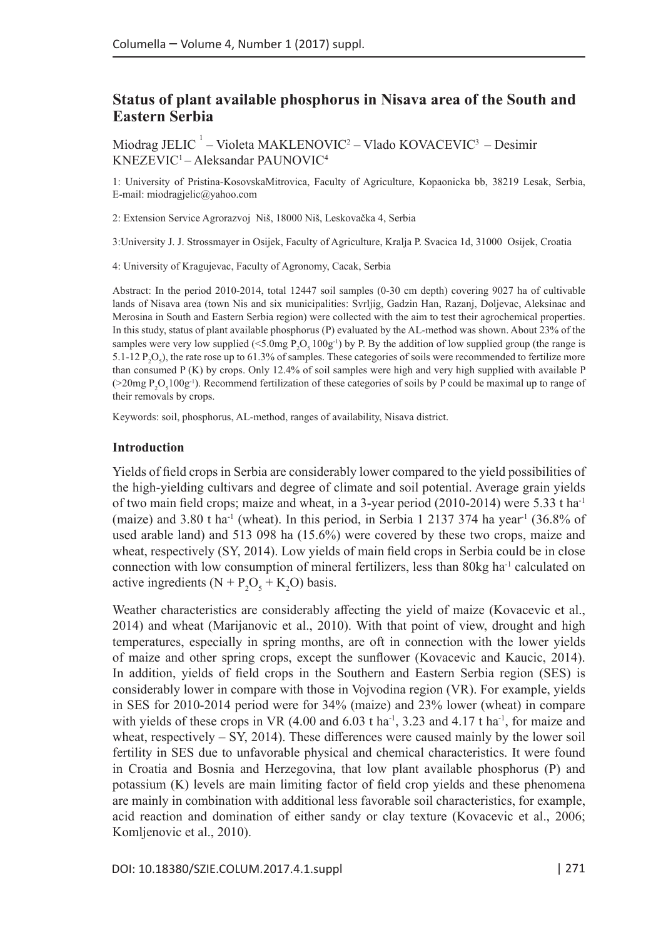# **Status of plant available phosphorus in Nisava area of the South and Eastern Serbia**

Miodrag JELIC<sup>1</sup> – Violeta MAKLENOVIC<sup>2</sup> – Vlado KOVACEVIC<sup>3</sup> – Desimir KNEZEVIC1 – Aleksandar PAUNOVIC4

1: University of Pristina-KosovskaMitrovica, Faculty of Agriculture, Kopaonicka bb, 38219 Lesak, Serbia, E-mail: [miodragjelic@yahoo.com](mailto:miodragjelic@yahoo.com)

2: Extension Service Agrorazvoj Niš, 18000 Niš, Leskovačka 4, Serbia

3:University J. J. Strossmayer in Osijek, Faculty of Agriculture, Kralja P. Svacica 1d, 31000 Osijek, Croatia

4: University of Kragujevac, Faculty of Agronomy, Cacak, Serbia

Abstract: In the period 2010-2014, total 12447 soil samples (0-30 cm depth) covering 9027 ha of cultivable lands of Nisava area (town Nis and six municipalities: Svrljig, Gadzin Han, Razanj, Doljevac, Aleksinac and Merosina in South and Eastern Serbia region) were collected with the aim to test their agrochemical properties. In this study, status of plant available phosphorus (P) evaluated by the AL-method was shown. About 23% of the samples were very low supplied (<5.0mg  $P_2O_5 100g^{-1}$ ) by P. By the addition of low supplied group (the range is 5.1-12  $P_2O_5$ ), the rate rose up to 61.3% of samples. These categories of soils were recommended to fertilize more than consumed P (K) by crops. Only 12.4% of soil samples were high and very high supplied with available P ( $>20$ mg  $P_2O_5100g^{-1}$ ). Recommend fertilization of these categories of soils by P could be maximal up to range of their removals by crops.

Keywords: soil, phosphorus, AL-method, ranges of availability, Nisava district.

#### **Introduction**

Yields of field crops in Serbia are considerably lower compared to the yield possibilities of the high-yielding cultivars and degree of climate and soil potential. Average grain yields of two main field crops; maize and wheat, in a 3-year period  $(2010-2014)$  were 5.33 t ha<sup>-1</sup> (maize) and 3.80 t ha<sup>-1</sup> (wheat). In this period, in Serbia 1 2137 374 ha year<sup>-1</sup> (36.8% of used arable land) and 513 098 ha (15.6%) were covered by these two crops, maize and wheat, respectively (SY, 2014). Low yields of main field crops in Serbia could be in close connection with low consumption of mineral fertilizers, less than 80kg ha<sup>-1</sup> calculated on active ingredients  $(N + P_2O_5 + K_2O)$  basis.

Weather characteristics are considerably affecting the yield of maize (Kovacevic et al., 2014) and wheat (Marijanovic et al., 2010). With that point of view, drought and high temperatures, especially in spring months, are oft in connection with the lower yields of maize and other spring crops, except the sunflower (Kovacevic and Kaucic, 2014). In addition, yields of field crops in the Southern and Eastern Serbia region (SES) is considerably lower in compare with those in Vojvodina region (VR). For example, yields in SES for 2010-2014 period were for 34% (maize) and 23% lower (wheat) in compare with yields of these crops in VR  $(4.00 \text{ and } 6.03 \text{ t} \text{ ha}^{-1}, 3.23 \text{ and } 4.17 \text{ t} \text{ ha}^{-1},$  for maize and wheat, respectively  $-$  SY, 2014). These differences were caused mainly by the lower soil fertility in SES due to unfavorable physical and chemical characteristics. It were found in Croatia and Bosnia and Herzegovina, that low plant available phosphorus (P) and potassium (K) levels are main limiting factor of field crop yields and these phenomena are mainly in combination with additional less favorable soil characteristics, for example, acid reaction and domination of either sandy or clay texture (Kovacevic et al., 2006; Komljenovic et al., 2010).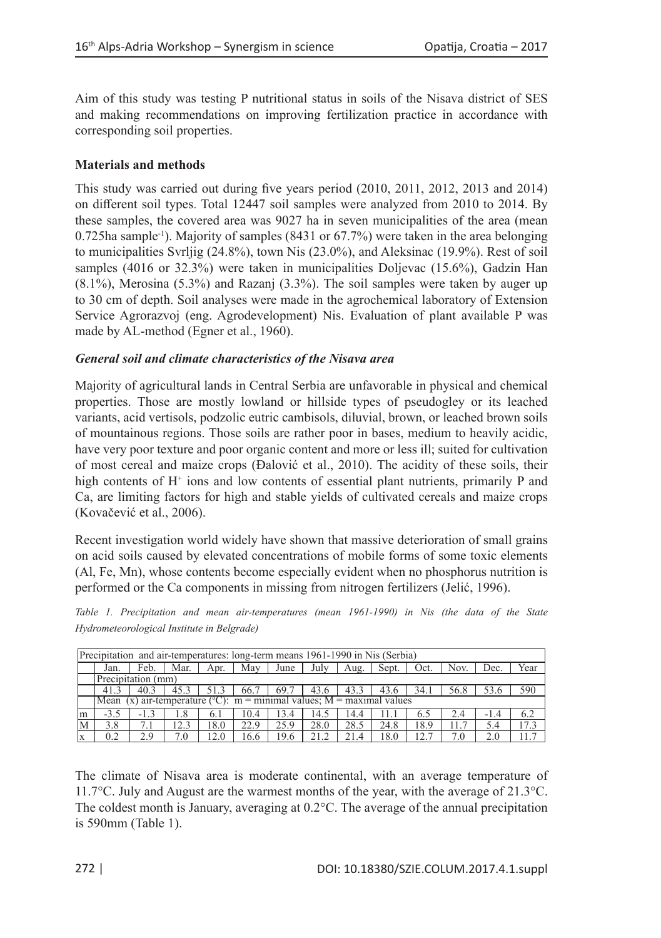Aim of this study was testing P nutritional status in soils of the Nisava district of SES and making recommendations on improving fertilization practice in accordance with corresponding soil properties.

# **Materials and methods**

This study was carried out during five years period (2010, 2011, 2012, 2013 and 2014) on different soil types. Total 12447 soil samples were analyzed from 2010 to 2014. By these samples, the covered area was 9027 ha in seven municipalities of the area (mean  $0.725$ ha sample<sup>-1</sup>). Majority of samples (8431 or 67.7%) were taken in the area belonging to municipalities Svrljig (24.8%), town Nis (23.0%), and Aleksinac (19.9%). Rest of soil samples (4016 or 32.3%) were taken in municipalities Doljevac (15.6%), Gadzin Han (8.1%), Merosina (5.3%) and Razanj (3.3%). The soil samples were taken by auger up to 30 cm of depth. Soil analyses were made in the agrochemical laboratory of Extension Service Agrorazvoj (eng. Agrodevelopment) Nis. Evaluation of plant available P was made by AL-method (Egner et al., 1960).

## *General soil and climate characteristics of the Nisava area*

Majority of agricultural lands in Central Serbia are unfavorable in physical and chemical properties. Those are mostly lowland or hillside types of pseudogley or its leached variants, acid vertisols, podzolic eutric cambisols, diluvial, brown, or leached brown soils of mountainous regions. Those soils are rather poor in bases, medium to heavily acidic, have very poor texture and poor organic content and more or less ill; suited for cultivation of most cereal and maize crops (Đalović et al., 2010). The acidity of these soils, their high contents of H<sup>+</sup> ions and low contents of essential plant nutrients, primarily P and Ca, are limiting factors for high and stable yields of cultivated cereals and maize crops (Kovačević et al., 2006).

Recent investigation world widely have shown that massive deterioration of small grains on acid soils caused by elevated concentrations of mobile forms of some toxic elements (Al, Fe, Mn), whose contents become especially evident when no phosphorus nutrition is performed or the Ca components in missing from nitrogen fertilizers (Jelić, 1996).

|  |                                            |  | Table 1. Precipitation and mean air-temperatures (mean 1961-1990) in Nis (the data of the State |  |  |  |  |  |
|--|--------------------------------------------|--|-------------------------------------------------------------------------------------------------|--|--|--|--|--|
|  | Hydrometeorological Institute in Belgrade) |  |                                                                                                 |  |  |  |  |  |

| Precipitation and air-temperatures: long-term means 1961-1990 in Nis (Serbia) |                                                                                    |        |      |      |      |      |      |      |       |      |      |        |      |
|-------------------------------------------------------------------------------|------------------------------------------------------------------------------------|--------|------|------|------|------|------|------|-------|------|------|--------|------|
|                                                                               | Jan.                                                                               | Feb.   | Mar. | Apr. | May  | June | July | Aug. | Sept. | Oct. | Nov. | Dec.   | Year |
|                                                                               | Precipitation (mm)                                                                 |        |      |      |      |      |      |      |       |      |      |        |      |
|                                                                               | 41.3                                                                               | 40.3   | 45.3 | 51.3 | 66.7 | 69.7 | 43.6 | 43.3 | 43.6  | 34.1 | 56.8 | 53.6   | 590  |
|                                                                               | Mean (x) air-temperature ( ${}^{\circ}$ C): m = minimal values; M = maximal values |        |      |      |      |      |      |      |       |      |      |        |      |
| <sub>lm</sub>                                                                 | $-3.5$                                                                             | $-1.3$ | 1.8  | 6.1  | 10.4 | 13.4 | 14.5 | 14.4 | 11.1  | 6.5  | 2.4  | $-1.4$ | 6.2  |
| M                                                                             | 3.8                                                                                |        | 12.3 | 18.0 | 22.9 | 25.9 | 28.0 | 28.5 | 24.8  | 18.9 | 11.7 | 5.4    | 17.3 |
|                                                                               | 0.2                                                                                | 2.9    | 7.0  | 12.0 | 16.6 | 19.6 | 21.2 | 21.4 | 18.0  | 12.7 | 7.0  | 2.0    | 11.7 |

The climate of Nisava area is moderate continental, with an average temperature of 11.7°C. July and August are the warmest months of the year, with the average of 21.3°C. The coldest month is January, averaging at 0.2°C. The average of the annual precipitation is 590mm (Table 1).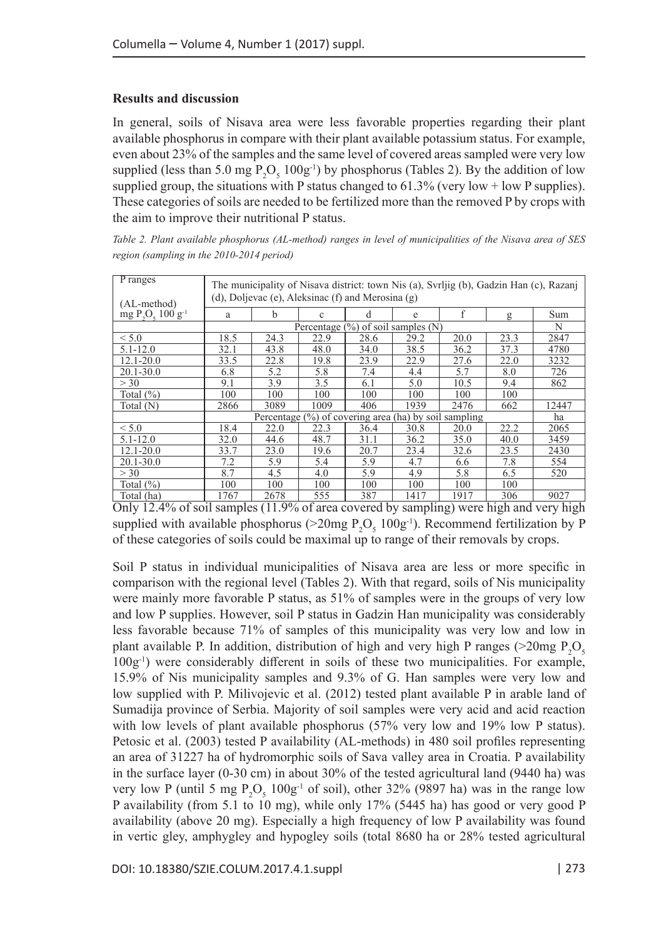## **Results and discussion**

In general, soils of Nisava area were less favorable properties regarding their plant available phosphorus in compare with their plant available potassium status. For example, even about 23% of the samples and the same level of covered areas sampled were very low supplied (less than 5.0 mg  $P_2O_5 100g^{-1}$ ) by phosphorus (Tables 2). By the addition of low supplied group, the situations with P status changed to 61.3% (very low + low P supplies). These categories of soils are needed to be fertilized more than the removed P by crops with the aim to improve their nutritional P status.

*Table 2. Plant available phosphorus (AL-method) ranges in level of municipalities of the Nisava area of SES region (sampling in the 2010-2014 period)*

| <b>P</b> ranges<br>(AL-method) | The municipality of Nisava district: town Nis (a), Svrijig (b), Gadzin Han (c), Razanj<br>(d), Doljevac (e), Aleksinac (f) and Merosina $(g)$ |      |      |      |      |      |      |       |  |  |  |
|--------------------------------|-----------------------------------------------------------------------------------------------------------------------------------------------|------|------|------|------|------|------|-------|--|--|--|
| $mg P2Os 100 g-1$              | a                                                                                                                                             | b    | c    | d    | e    | f    | g    | Sum   |  |  |  |
|                                | Percentage $(\%)$ of soil samples $(N)$                                                                                                       |      |      |      |      |      |      |       |  |  |  |
| < 5.0                          | 18.5                                                                                                                                          | 24.3 | 22.9 | 28.6 | 29.2 | 20.0 | 23.3 | 2847  |  |  |  |
| $5.1 - 12.0$                   | 32.1                                                                                                                                          | 43.8 | 48.0 | 34.0 | 38.5 | 36.2 | 37.3 | 4780  |  |  |  |
| $12.1 - 20.0$                  | 33.5                                                                                                                                          | 22.8 | 19.8 | 23.9 | 22.9 | 27.6 | 22.0 | 3232  |  |  |  |
| $20.1 - 30.0$                  | 6.8                                                                                                                                           | 5.2  | 5.8  | 7.4  | 4.4  | 5.7  | 8.0  | 726   |  |  |  |
| > 30                           | 9.1                                                                                                                                           | 3.9  | 3.5  | 6.1  | 5.0  | 10.5 | 9.4  | 862   |  |  |  |
| Total $(\%)$                   | 100                                                                                                                                           | 100  | 100  | 100  | 100  | 100  | 100  |       |  |  |  |
| Total (N)                      | 2866                                                                                                                                          | 3089 | 1009 | 406  | 1939 | 2476 | 662  | 12447 |  |  |  |
|                                | Percentage $(\%)$ of covering area (ha) by soil sampling                                                                                      |      |      |      |      |      |      |       |  |  |  |
| < 5.0                          | 18.4                                                                                                                                          | 22.0 | 22.3 | 36.4 | 30.8 | 20.0 | 22.2 | 2065  |  |  |  |
| $5.1 - 12.0$                   | 32.0                                                                                                                                          | 44.6 | 48.7 | 31.1 | 36.2 | 35.0 | 40.0 | 3459  |  |  |  |
| $12.1 - 20.0$                  | 33.7                                                                                                                                          | 23.0 | 19.6 | 20.7 | 23.4 | 32.6 | 23.5 | 2430  |  |  |  |
| $20.1 - 30.0$                  | 7.2                                                                                                                                           | 5.9  | 5.4  | 5.9  | 4.7  | 6.6  | 7.8  | 554   |  |  |  |
| > 30                           | 8.7                                                                                                                                           | 4.5  | 4.0  | 5.9  | 4.9  | 5.8  | 6.5  | 520   |  |  |  |
| Total $(\%)$                   | 100                                                                                                                                           | 100  | 100  | 100  | 100  | 100  | 100  |       |  |  |  |
| Total (ha)                     | 1767                                                                                                                                          | 2678 | 555  | 387  | 1417 | 1917 | 306  | 9027  |  |  |  |

Only 12.4% of soil samples (11.9% of area covered by sampling) were high and very high supplied with available phosphorus ( $>$ 20mg P<sub>2</sub>O<sub>5</sub> 100g<sup>-1</sup>). Recommend fertilization by P of these categories of soils could be maximal up to range of their removals by crops.

Soil P status in individual municipalities of Nisava area are less or more specific in comparison with the regional level (Tables 2). With that regard, soils of Nis municipality were mainly more favorable P status, as 51% of samples were in the groups of very low and low P supplies. However, soil P status in Gadzin Han municipality was considerably less favorable because 71% of samples of this municipality was very low and low in plant available P. In addition, distribution of high and very high P ranges ( $>$ 20mg P<sub>2</sub>O<sub>5</sub> 100g-1) were considerably different in soils of these two municipalities. For example, 15.9% of Nis municipality samples and 9.3% of G. Han samples were very low and low supplied with P. Milivojevic et al. (2012) tested plant available P in arable land of Sumadija province of Serbia. Majority of soil samples were very acid and acid reaction with low levels of plant available phosphorus (57% very low and 19% low P status). Petosic et al. (2003) tested P availability (AL-methods) in 480 soil profiles representing an area of 31227 ha of hydromorphic soils of Sava valley area in Croatia. P availability in the surface layer (0-30 cm) in about 30% of the tested agricultural land (9440 ha) was very low P (until 5 mg  $P_2O_5 100g^{-1}$  of soil), other 32% (9897 ha) was in the range low P availability (from 5.1 to 10 mg), while only 17% (5445 ha) has good or very good P availability (above 20 mg). Especially a high frequency of low P availability was found in vertic gley, amphygley and hypogley soils (total 8680 ha or 28% tested agricultural